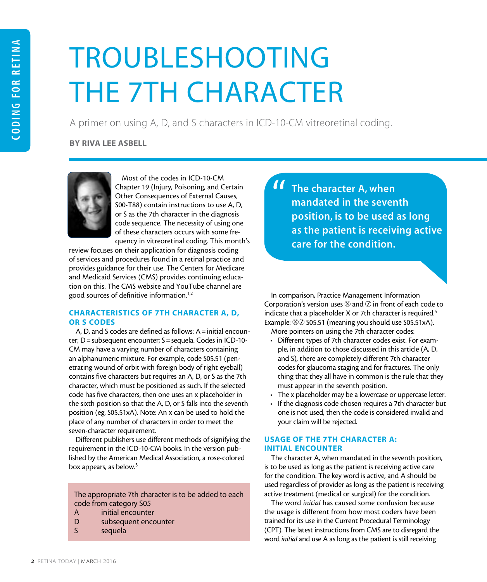# TROUBLESHOOTING THE 7TH CHARACTER

A primer on using A, D, and S characters in ICD-10-CM vitreoretinal coding.

BY RIVA LEE ASBELL



Most of the codes in ICD-10-CM Chapter 19 (Injury, Poisoning, and Certain Other Consequences of External Causes, S00-T88) contain instructions to use A, D, or S as the 7th character in the diagnosis code sequence. The necessity of using one of these characters occurs with some frequency in vitreoretinal coding. This month's

review focuses on their application for diagnosis coding of services and procedures found in a retinal practice and provides guidance for their use. The Centers for Medicare and Medicaid Services (CMS) provides continuing education on this. The CMS website and YouTube channel are good sources of definitive information.1,2

# CHARACTERISTICS OF 7TH CHARACTER A, D, OR S CODES

A, D, and S codes are defined as follows:  $A = \text{initial}\,\text{encount}$ ter; D = subsequent encounter; S = sequela. Codes in ICD-10-CM may have a varying number of characters containing an alphanumeric mixture. For example, code S05.51 (penetrating wound of orbit with foreign body of right eyeball) contains five characters but requires an A, D, or S as the 7th character, which must be positioned as such. If the selected code has five characters, then one uses an x placeholder in the sixth position so that the A, D, or S falls into the seventh position (eg, S05.51xA). Note: An x can be used to hold the place of any number of characters in order to meet the seven-character requirement.

Different publishers use different methods of signifying the requirement in the ICD-10-CM books. In the version published by the American Medical Association, a rose-colored box appears, as below.<sup>3</sup>

The appropriate 7th character is to be added to each code from category S05

- A initial encounter
- D subsequent encounter
- S sequela

The character A, when mandated in the seventh position, is to be used as long as the patient is receiving active care for the condition. |<br>|<br>|

In comparison, Practice Management Information Corporation's version uses  $\otimes$  and  $\oslash$  in front of each code to indicate that a placeholder  $X$  or 7th character is required.<sup>4</sup> Example:  $\otimes$  2 S05.51 (meaning you should use S05.51xA).

More pointers on using the 7th character codes:

- Different types of 7th character codes exist. For example, in addition to those discussed in this article (A, D, and S), there are completely different 7th character codes for glaucoma staging and for fractures. The only thing that they all have in common is the rule that they must appear in the seventh position.
- The x placeholder may be a lowercase or uppercase letter.
- If the diagnosis code chosen requires a 7th character but one is not used, then the code is considered invalid and your claim will be rejected.

#### USAGE OF THE 7TH CHARACTER A: INITIAL ENCOUNTER

The character A, when mandated in the seventh position, is to be used as long as the patient is receiving active care for the condition. The key word is active, and A should be used regardless of provider as long as the patient is receiving active treatment (medical or surgical) for the condition.

The word *initial* has caused some confusion because the usage is different from how most coders have been trained for its use in the Current Procedural Terminology (CPT). The latest instructions from CMS are to disregard the word *initial* and use A as long as the patient is still receiving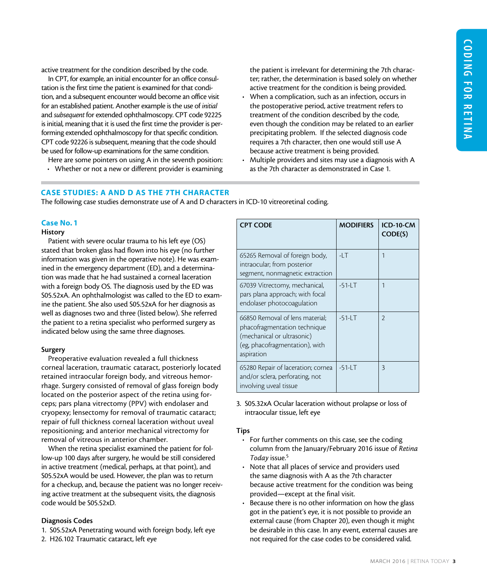active treatment for the condition described by the code.

In CPT, for example, an initial encounter for an office consultation is the first time the patient is examined for that condition, and a subsequent encounter would become an office visit for an established patient. Another example is the use of *initial* and *subsequent* for extended ophthalmoscopy. CPT code 92225 is initial, meaning that it is used the first time the provider is performing extended ophthalmoscopy for that specific condition. CPT code 92226 is subsequent, meaning that the code should be used for follow-up examinations for the same condition.

Here are some pointers on using A in the seventh position:

• Whether or not a new or different provider is examining

the patient is irrelevant for determining the 7th character; rather, the determination is based solely on whether active treatment for the condition is being provided.

- When a complication, such as an infection, occurs in the postoperative period, active treatment refers to treatment of the condition described by the code, even though the condition may be related to an earlier precipitating problem. If the selected diagnosis code requires a 7th character, then one would still use A because active treatment is being provided.
- Multiple providers and sites may use a diagnosis with A as the 7th character as demonstrated in Case 1.

#### CASE STUDIES: A AND D AS THE 7TH CHARACTER

The following case studies demonstrate use of A and D characters in ICD-10 vitreoretinal coding.

#### Case No. 1

#### **History**

Patient with severe ocular trauma to his left eye (OS) stated that broken glass had flown into his eye (no further information was given in the operative note). He was examined in the emergency department (ED), and a determination was made that he had sustained a corneal laceration with a foreign body OS. The diagnosis used by the ED was S05.52xA. An ophthalmologist was called to the ED to examine the patient. She also used S05.52xA for her diagnosis as well as diagnoses two and three (listed below). She referred the patient to a retina specialist who performed surgery as indicated below using the same three diagnoses.

#### Surgery

Preoperative evaluation revealed a full thickness corneal laceration, traumatic cataract, posteriorly located retained intraocular foreign body, and vitreous hemorrhage. Surgery consisted of removal of glass foreign body located on the posterior aspect of the retina using forceps; pars plana vitrectomy (PPV) with endolaser and cryopexy; lensectomy for removal of traumatic cataract; repair of full thickness corneal laceration without uveal repositioning; and anterior mechanical vitrectomy for removal of vitreous in anterior chamber.

When the retina specialist examined the patient for follow-up 100 days after surgery, he would be still considered in active treatment (medical, perhaps, at that point), and S05.52xA would be used. However, the plan was to return for a checkup, and, because the patient was no longer receiving active treatment at the subsequent visits, the diagnosis code would be S05.52xD.

#### Diagnosis Codes

- 1. S05.52xA Penetrating wound with foreign body, left eye
- 2. H26.102 Traumatic cataract, left eye

| <b>CPT CODE</b>                                                                                                                               | <b>MODIFIERS</b> | <b>ICD-10-CM</b><br>CODE(S) |
|-----------------------------------------------------------------------------------------------------------------------------------------------|------------------|-----------------------------|
| 65265 Removal of foreign body,<br>intraocular; from posterior<br>segment, nonmagnetic extraction                                              | $-1$ . $T$       |                             |
| 67039 Vitrectomy, mechanical,<br>pars plana approach; with focal<br>endolaser photocoagulation                                                | $-51 - LT$       | 1                           |
| 66850 Removal of lens material:<br>phacofragmentation technique<br>(mechanical or ultrasonic)<br>(eg, phacofragmentation), with<br>aspiration | $-51 - LT$       | $\mathfrak{D}$              |
| 65280 Repair of laceration; cornea<br>and/or sclera, perforating, not<br>involving uveal tissue                                               | $-51 - LT$       | 3                           |

3. S05.32xA Ocular laceration without prolapse or loss of intraocular tissue, left eye

#### Tips

- For further comments on this case, see the coding column from the January/February 2016 issue of *Retina Today* issue.5
- Note that all places of service and providers used the same diagnosis with A as the 7th character because active treatment for the condition was being provided—except at the final visit.
- Because there is no other information on how the glass got in the patient's eye, it is not possible to provide an external cause (from Chapter 20), even though it might be desirable in this case. In any event, external causes are not required for the case codes to be considered valid.